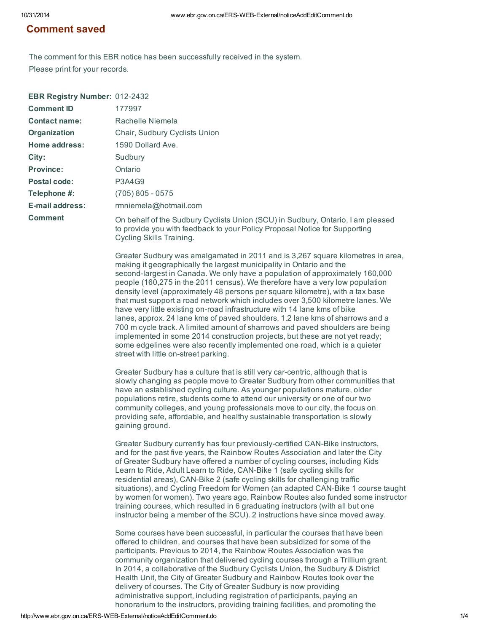## Comment saved

The comment for this EBR notice has been successfully received in the system. Please print for your records.

| <b>EBR Registry Number: 012-2432</b> |                                                                                                                                                                                                                                                                                                                                                                                                                                                                                                                                                                                                                                                                                                                                                                                                                                                                                                                                                   |
|--------------------------------------|---------------------------------------------------------------------------------------------------------------------------------------------------------------------------------------------------------------------------------------------------------------------------------------------------------------------------------------------------------------------------------------------------------------------------------------------------------------------------------------------------------------------------------------------------------------------------------------------------------------------------------------------------------------------------------------------------------------------------------------------------------------------------------------------------------------------------------------------------------------------------------------------------------------------------------------------------|
| <b>Comment ID</b>                    | 177997                                                                                                                                                                                                                                                                                                                                                                                                                                                                                                                                                                                                                                                                                                                                                                                                                                                                                                                                            |
| <b>Contact name:</b>                 | Rachelle Niemela                                                                                                                                                                                                                                                                                                                                                                                                                                                                                                                                                                                                                                                                                                                                                                                                                                                                                                                                  |
| Organization                         | Chair, Sudbury Cyclists Union                                                                                                                                                                                                                                                                                                                                                                                                                                                                                                                                                                                                                                                                                                                                                                                                                                                                                                                     |
| Home address:                        | 1590 Dollard Ave.                                                                                                                                                                                                                                                                                                                                                                                                                                                                                                                                                                                                                                                                                                                                                                                                                                                                                                                                 |
| City:                                | Sudbury                                                                                                                                                                                                                                                                                                                                                                                                                                                                                                                                                                                                                                                                                                                                                                                                                                                                                                                                           |
| <b>Province:</b>                     | Ontario                                                                                                                                                                                                                                                                                                                                                                                                                                                                                                                                                                                                                                                                                                                                                                                                                                                                                                                                           |
| <b>Postal code:</b>                  | <b>P3A4G9</b>                                                                                                                                                                                                                                                                                                                                                                                                                                                                                                                                                                                                                                                                                                                                                                                                                                                                                                                                     |
| Telephone #:                         | $(705) 805 - 0575$                                                                                                                                                                                                                                                                                                                                                                                                                                                                                                                                                                                                                                                                                                                                                                                                                                                                                                                                |
| <b>E-mail address:</b>               | rmniemela@hotmail.com                                                                                                                                                                                                                                                                                                                                                                                                                                                                                                                                                                                                                                                                                                                                                                                                                                                                                                                             |
| <b>Comment</b>                       | On behalf of the Sudbury Cyclists Union (SCU) in Sudbury, Ontario, I am pleased<br>to provide you with feedback to your Policy Proposal Notice for Supporting<br>Cycling Skills Training.                                                                                                                                                                                                                                                                                                                                                                                                                                                                                                                                                                                                                                                                                                                                                         |
|                                      | Greater Sudbury was amalgamated in 2011 and is 3,267 square kilometres in area,<br>making it geographically the largest municipality in Ontario and the<br>second-largest in Canada. We only have a population of approximately 160,000<br>people (160,275 in the 2011 census). We therefore have a very low population<br>density level (approximately 48 persons per square kilometre), with a tax base<br>that must support a road network which includes over 3,500 kilometre lanes. We<br>have very little existing on-road infrastructure with 14 lane kms of bike<br>lanes, approx. 24 lane kms of paved shoulders, 1.2 lane kms of sharrows and a<br>700 m cycle track. A limited amount of sharrows and paved shoulders are being<br>implemented in some 2014 construction projects, but these are not yet ready;<br>some edgelines were also recently implemented one road, which is a quieter<br>street with little on-street parking. |
|                                      | Greater Sudbury has a culture that is still very car-centric, although that is<br>slowly changing as people move to Greater Sudbury from other communities that<br>have an established cycling culture. As younger populations mature, older<br>populations retire, students come to attend our university or one of our two<br>community colleges, and young professionals move to our city, the focus on<br>providing safe, affordable, and healthy sustainable transportation is slowly<br>gaining ground.                                                                                                                                                                                                                                                                                                                                                                                                                                     |
|                                      | Greater Sudbury currently has four previously-certified CAN-Bike instructors,<br>and for the past five years, the Rainbow Routes Association and later the City<br>of Greater Sudbury have offered a number of cycling courses, including Kids<br>Learn to Ride, Adult Learn to Ride, CAN-Bike 1 (safe cycling skills for<br>residential areas), CAN-Bike 2 (safe cycling skills for challenging traffic<br>situations), and Cycling Freedom for Women (an adapted CAN-Bike 1 course taught<br>by women for women). Two years ago, Rainbow Routes also funded some instructor<br>training courses, which resulted in 6 graduating instructors (with all but one<br>instructor being a member of the SCU). 2 instructions have since moved away.                                                                                                                                                                                                   |
|                                      | Some courses have been successful, in particular the courses that have been<br>offered to children, and courses that have been subsidized for some of the<br>participants. Previous to 2014, the Rainbow Routes Association was the<br>community organization that delivered cycling courses through a Trillium grant.<br>In 2014, a collaborative of the Sudbury Cyclists Union, the Sudbury & District<br>Health Unit, the City of Greater Sudbury and Rainbow Routes took over the<br>delivery of courses. The City of Greater Sudbury is now providing<br>administrative support, including registration of participants, paying an                                                                                                                                                                                                                                                                                                           |

honorarium to the instructors, providing training facilities, and promoting the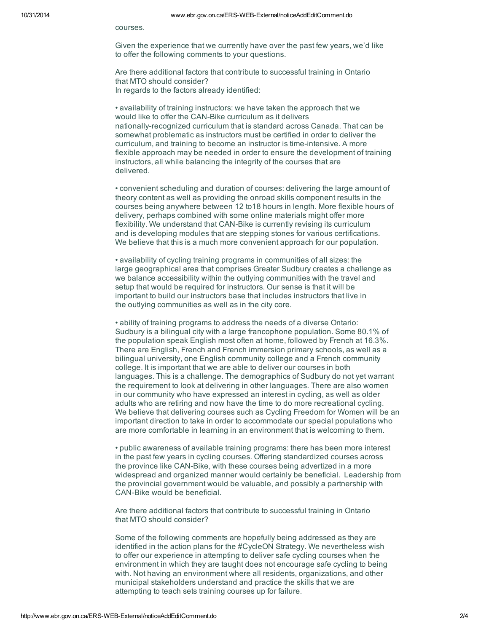courses.

Given the experience that we currently have over the past few years, we'd like to offer the following comments to your questions.

Are there additional factors that contribute to successful training in Ontario that MTO should consider? In regards to the factors already identified:

• availability of training instructors: we have taken the approach that we would like to offer the CAN-Bike curriculum as it delivers nationally-recognized curriculum that is standard across Canada. That can be somewhat problematic as instructors must be certified in order to deliver the curriculum, and training to become an instructor is time-intensive. A more flexible approach may be needed in order to ensure the development of training instructors, all while balancing the integrity of the courses that are delivered.

• convenient scheduling and duration of courses: delivering the large amount of theory content as well as providing the onroad skills component results in the courses being anywhere between 12 to18 hours in length. More flexible hours of delivery, perhaps combined with some online materials might offer more flexibility. We understand that CAN-Bike is currently revising its curriculum and is developing modules that are stepping stones for various certifications. We believe that this is a much more convenient approach for our population.

• availability of cycling training programs in communities of all sizes: the large geographical area that comprises Greater Sudbury creates a challenge as we balance accessibility within the outlying communities with the travel and setup that would be required for instructors. Our sense is that it will be important to build our instructors base that includes instructors that live in the outlying communities as well as in the city core.

• ability of training programs to address the needs of a diverse Ontario: Sudbury is a bilingual city with a large francophone population. Some 80.1% of the population speak English most often at home, followed by French at 16.3%. There are English, French and French immersion primary schools, as well as a bilingual university, one English community college and a French community college. It is important that we are able to deliver our courses in both languages. This is a challenge. The demographics of Sudbury do not yet warrant the requirement to look at delivering in other languages. There are also women in our community who have expressed an interest in cycling, as well as older adults who are retiring and now have the time to do more recreational cycling. We believe that delivering courses such as Cycling Freedom for Women will be an important direction to take in order to accommodate our special populations who are more comfortable in learning in an environment that is welcoming to them.

• public awareness of available training programs: there has been more interest in the past few years in cycling courses. Offering standardized courses across the province like CAN-Bike, with these courses being advertized in a more widespread and organized manner would certainly be beneficial. Leadership from the provincial government would be valuable, and possibly a partnership with CAN-Bike would be beneficial.

Are there additional factors that contribute to successful training in Ontario that MTO should consider?

Some of the following comments are hopefully being addressed as they are identified in the action plans for the #CycleON Strategy. We nevertheless wish to offer our experience in attempting to deliver safe cycling courses when the environment in which they are taught does not encourage safe cycling to being with. Not having an environment where all residents, organizations, and other municipal stakeholders understand and practice the skills that we are attempting to teach sets training courses up for failure.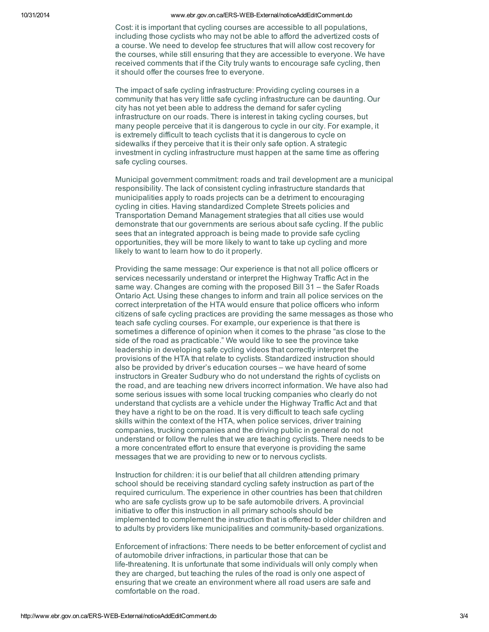10/31/2014 www.ebr.gov.on.ca/ERS-WEB-External/noticeAddEditComment.do

Cost: it is important that cycling courses are accessible to all populations, including those cyclists who may not be able to afford the advertized costs of a course. We need to develop fee structures that will allow cost recovery for the courses, while still ensuring that they are accessible to everyone. We have received comments that if the City truly wants to encourage safe cycling, then it should offer the courses free to everyone.

The impact of safe cycling infrastructure: Providing cycling courses in a community that has very little safe cycling infrastructure can be daunting. Our city has not yet been able to address the demand for safer cycling infrastructure on our roads. There is interest in taking cycling courses, but many people perceive that it is dangerous to cycle in our city. For example, it is extremely difficult to teach cyclists that it is dangerous to cycle on sidewalks if they perceive that it is their only safe option. A strategic investment in cycling infrastructure must happen at the same time as offering safe cycling courses.

Municipal government commitment: roads and trail development are a municipal responsibility. The lack of consistent cycling infrastructure standards that municipalities apply to roads projects can be a detriment to encouraging cycling in cities. Having standardized Complete Streets policies and Transportation Demand Management strategies that all cities use would demonstrate that our governments are serious about safe cycling. If the public sees that an integrated approach is being made to provide safe cycling opportunities, they will be more likely to want to take up cycling and more likely to want to learn how to do it properly.

Providing the same message: Our experience is that not all police officers or services necessarily understand or interpret the Highway Traffic Act in the same way. Changes are coming with the proposed Bill 31 – the Safer Roads Ontario Act. Using these changes to inform and train all police services on the correct interpretation of the HTA would ensure that police officers who inform citizens of safe cycling practices are providing the same messages as those who teach safe cycling courses. For example, our experience is that there is sometimes a difference of opinion when it comes to the phrase "as close to the side of the road as practicable." We would like to see the province take leadership in developing safe cycling videos that correctly interpret the provisions of the HTA that relate to cyclists. Standardized instruction should also be provided by driver's education courses – we have heard of some instructors in Greater Sudbury who do not understand the rights of cyclists on the road, and are teaching new drivers incorrect information. We have also had some serious issues with some local trucking companies who clearly do not understand that cyclists are a vehicle under the Highway Traffic Act and that they have a right to be on the road. It is very difficult to teach safe cycling skills within the context of the HTA, when police services, driver training companies, trucking companies and the driving public in general do not understand or follow the rules that we are teaching cyclists. There needs to be a more concentrated effort to ensure that everyone is providing the same messages that we are providing to new or to nervous cyclists.

Instruction for children: it is our belief that all children attending primary school should be receiving standard cycling safety instruction as part of the required curriculum. The experience in other countries has been that children who are safe cyclists grow up to be safe automobile drivers. A provincial initiative to offer this instruction in all primary schools should be implemented to complement the instruction that is offered to older children and to adults by providers like municipalities and community-based organizations.

Enforcement of infractions: There needs to be better enforcement of cyclist and of automobile driver infractions, in particular those that can be life-threatening. It is unfortunate that some individuals will only comply when they are charged, but teaching the rules of the road is only one aspect of ensuring that we create an environment where all road users are safe and comfortable on the road.